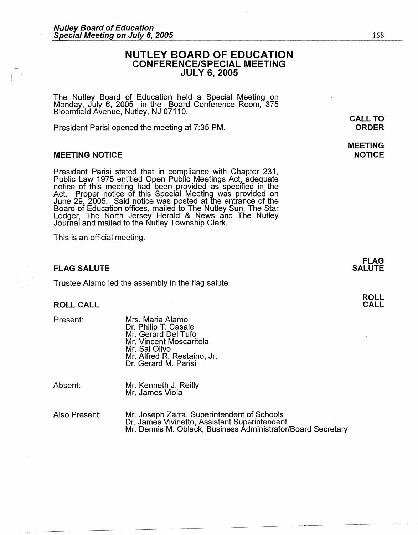# **NUTLEY BOARD OF EDUCATION CONFERENCE/SPECIAL MEETING JULY 6, 2005**

The Nutley Board of Education held a Special Meeting on Monday, July 6, 2005 in the Board Conference Room, 375 Bloomfield Avenue, Nutley, NJ 07110.

President Parisi opened the meeting at 7:35 PM.

### **MEETING NOTICE**

President Parisi stated that in compliance with Chapter 231, Public Law 1975 entitled Open Pubfic Meetings Act, adequate notice of this meeting had been provided as specified in the Act. Proper notice of this Special Meeting was provided on June 29, 2005. Said notice was posted at the entrance of the Board of Education offices, mailed to The Nutley Sun, The Star Ledger, The North Jersey Herald & News and The Nutley Journal and mailed to the Nutley Township Clerk.

This is an official meeting.

### **FLAG SALUTE**

Trustee Alamo led the assembly in the flag salute.

## **ROLL CALL**

Present:

Mrs. Maria Alamo Dr. Philip T. Casale Mr. Gerard Del Tufo Mr. Vincent Moscaritola Mr. Sal Olivo Mr. Alfred R. Restaino, Jr. Dr. Gerard M. Parisi

Absent:

Mr. Kenneth J. Reilly Mr. James Viola

Also Present:

Mr. Joseph Zarra, Superintendent of Schools Dr. James Vivinetto, Assistant Superintendent Mr. Dennis M. Oblack, Business Administrator/Board Secretary 158

# **MEETING NOTICE**

**FLAG SALUTE**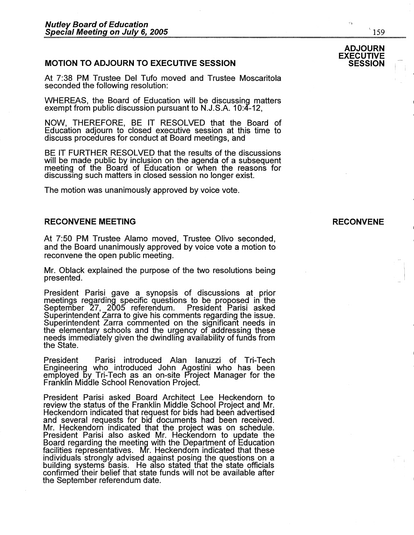# **MOTION TO ADJOURN TO EXECUTIVE SESSION**

At 7:38 PM Trustee Del Tufo moved and Trustee Moscaritola seconded the following resolution:

WHEREAS, the Board of Education will be discussing matters exempt from public discussion pursuant to N.J.S.A. 10:4-12,

NOW, THEREFORE, BE IT RESOLVED that the Board of Education adjourn to closed executive session at this time to discuss procedures for conduct at Board meetings, and

BE IT FURTHER RESOLVED that the results of the discussions will be made public by inclusion on the agenda of a subsequent meeting of the Board of Education or when the reasons for discussing such matters in closed session no longer exist.

The motion was unanimously approved by voice vote.

### **RECONVENE MEETING**

At 7:50 PM Trustee Alamo moved, Trustee Olivo seconded, and the Board unanimously approved by voice vote a motion to reconvene the open public meeting.

Mr. Oblack explained the purpose of the two resolutions being presented.

President Parisi gave a synopsis of discussions at prior meetings regarding specific questions to be proposed in the September 27, 2005 referendum. President Parisi asked Superintendent Zarra to give his comments regarding the issue. Superintendent Zarra commented on the significant needs in the elementary schools and the urgency of addressing these needs immediately given the dwindling availability of tunas from the State.

President Parisi introduced Alan Ianuzzi of Tri-Tech Engineering who introduced John Agostini who has been employed by: Tri-Tech as an on-site Project Manager for the Franklin Midale School Renovation Project.

President Parisi asked Board Architect Lee Heckendorn to review the status of the Franklin Middle School Project and Mr. Heckendorn indicated that request for bids had been advertised and several requests for bid documents had been received. Mr. Heckendorn indicated that the project was on schedule. President Parisi also asked Mr. Heckendorn to update the Board regarding the meeting with the Department of Education facilities representatives. Mr. Heckendorn indicated that these individuals strongly advised against posing the questions on a building systems basis. He also stated that the state officials confirmed their belief that state funds will not be available after the September referendum date.

۷ş

 $159$ 

 $\blacksquare$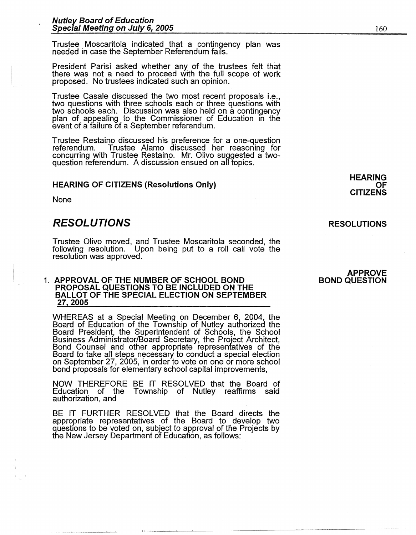Trustee Moscaritola indicated that a contingency plan was needed in case the September Referendum fails.

President Parisi asked whether any of the trustees felt that there was not a need to proceed with the full scope of work proposed. No trustees indicated such an opinion.

Trustee Casale discussed the two most recent proposals i.e., two questions with three schools each or three questions with two schools each. Discussion was also held on a contingency plan of appealing to the Commissioner of Education in the event of a failure of a September referendum.

Trustee Restaino discussed his preference for a one-question Trustee Alamo discussed her reasoning for concurring with Trustee Restaino. Mr. Olivo suggested a twoquestion referendum. A discussion ensued on all topics.

### **HEARING OF CITIZENS (Resolutions Only)**

None

# **RESOLUTIONS**

Trustee Olivo moved, and Trustee Moscaritola seconded, the following resolution. Upon being put to a roll call vote the resolution was approved.

### **1. APPROVAL OF THE NUMBER OF SCHOOL BOND PROPOSAL QUESTIONS TO BE INCLUDED ON THE BALLOT OF THE SPECIAL ELECTION ON SEPTEMBER 27 2005**

WHEREAS at a Special Meeting on December 6, 2004, the Board of Education of the Township of Nutley authorized the Board President, the Superintendent of Schools, the School Business Administrator/Board Secretary, the Project Architect, Bond Counsel and other appropriate representatives of the Board to take all steps necessary to conduct a special election on September 27, 2005, in order to vote on one or more school bond proposals for elementary school capital improvements,

NOW THEREFORE BE IT RESOLVED that the Board of Township of Nutley reaffirms said authorization, and

BE IT FURTHER RESOLVED that the Board directs the appropriate representatives of the Board to develop two questions to be voted on, subject to approval of the Projects by the New Jersey Department of Education, as follows:

# **RESOLUTIONS**

**HEARING** 

**CITIZENS** 

**OF** 

#### **APPROVE BOND QUESTION**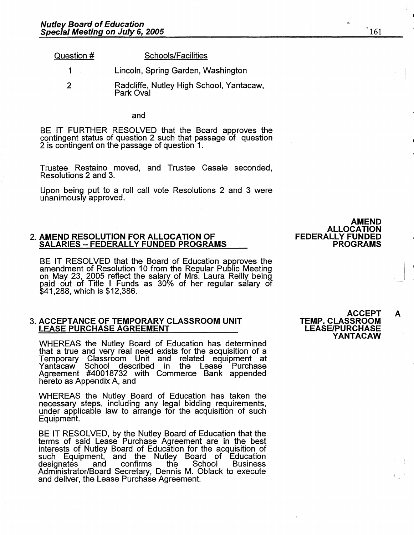| Question # | <b>Schools/Facilities</b>          |  |  |  |
|------------|------------------------------------|--|--|--|
|            | Lincoln, Spring Garden, Washington |  |  |  |
|            |                                    |  |  |  |

2 Radcliffe, Nutley High School, Yantacaw, Park Oval

and

BE IT FURTHER RESOLVED that the Board approves the contingent status of question 2 such that passage of question 2 is contingent on the passage of question 1.

Trustee Restaino moved, and Trustee Casale seconded, Resolutions 2 and 3.

Upon being put to a roll call vote Resolutions 2 and 3 were unanimously approved.

### **2. AMEND RESOLUTION FOR ALLOCATION OF SALARIES** - **FEDERALLY FUNDED PROGRAMS**

BE IT RESOLVED that the Board of Education approves the amendment of Resolution 10 from the Regular Public Meeting on May 23, 2005 reflect the salary of Mrs. Laura Reilly being<br>paid out of Title I Funds as 30% of her regular salary of \$41,288, which is \$12,386.

### 3. **ACCEPTANCE OF TEMPORARY CLASSROOM UNIT LEASE PURCHASE AGREEMENT**

WHEREAS the Nutley Board of Education has determined that a true and very real need exists for the acquisition of a Temporary Classroom Unit and related equipment at Yantacaw School described in Agreement #40018732 with Commerce Bank appended hereto as Appendix A, and

WHEREAS the Nutley Board of Education has taken the necessary steps, including any legal bidding requirements, under applicable law to arrange for the acquisition of such Equipment.

BE IT RESOLVED, by the Nutley Board of Education that the terms of said Lease Purchase Agreement are in the best interests of Nutley Board of Education for the acquisition of such Equipment, and the Nutley Board of Education designates and confirms the School Business Administrator/Board Secretary, Dennis M. Oblack to execute and deliver, the Lease Purchase Agreement.

**ACCEPT A** 

**TEMP. CLASSROOM LEASE/PURCHASE** 

|  | וו טונטוואט     |  |
|--|-----------------|--|
|  | <b>YANTACAW</b> |  |

**AMEND** 

**ALLOCATION** 

**PROGRAMS** 

**FEDERALLY FUNDED**